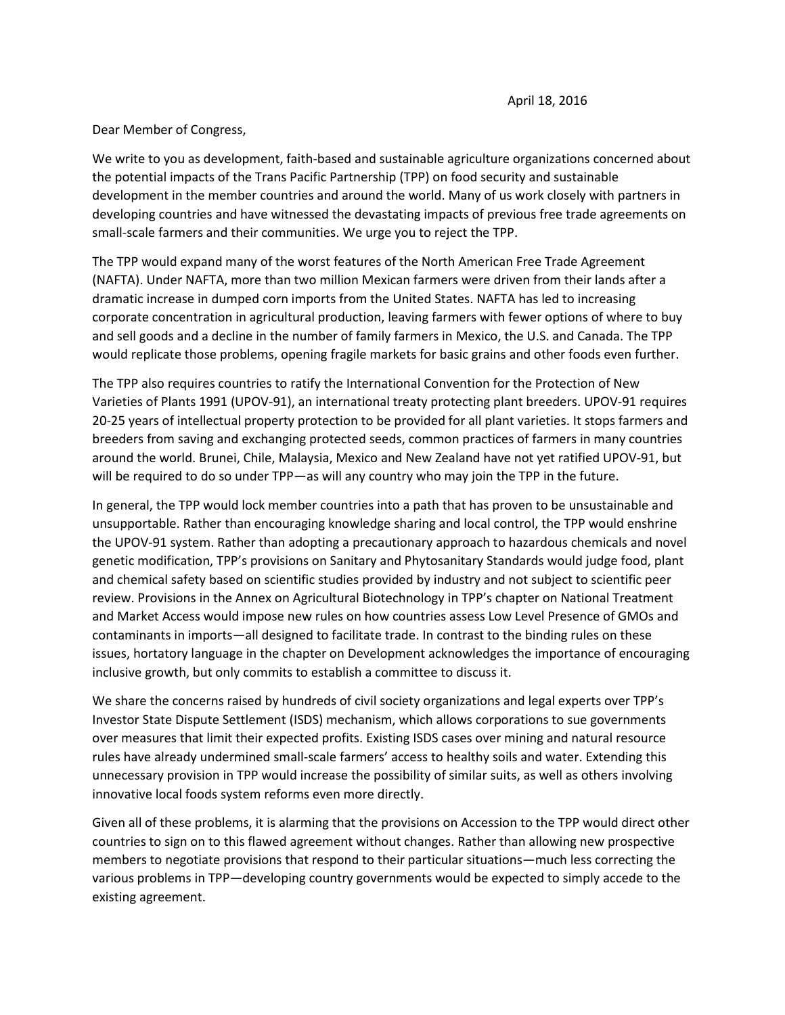Dear Member of Congress,

We write to you as development, faith-based and sustainable agriculture organizations concerned about the potential impacts of the Trans Pacific Partnership (TPP) on food security and sustainable development in the member countries and around the world. Many of us work closely with partners in developing countries and have witnessed the devastating impacts of previous free trade agreements on small-scale farmers and their communities. We urge you to reject the TPP.

The TPP would expand many of the worst features of the North American Free Trade Agreement (NAFTA). Under NAFTA, more than two million Mexican farmers were driven from their lands after a dramatic increase in dumped corn imports from the United States. NAFTA has led to increasing corporate concentration in agricultural production, leaving farmers with fewer options of where to buy and sell goods and a decline in the number of family farmers in Mexico, the U.S. and Canada. The TPP would replicate those problems, opening fragile markets for basic grains and other foods even further.

The TPP also requires countries to ratify the International Convention for the Protection of New Varieties of Plants 1991 (UPOV-91), an international treaty protecting plant breeders. UPOV-91 requires 20-25 years of intellectual property protection to be provided for all plant varieties. It stops farmers and breeders from saving and exchanging protected seeds, common practices of farmers in many countries around the world. Brunei, Chile, Malaysia, Mexico and New Zealand have not yet ratified UPOV-91, but will be required to do so under TPP—as will any country who may join the TPP in the future.

In general, the TPP would lock member countries into a path that has proven to be unsustainable and unsupportable. Rather than encouraging knowledge sharing and local control, the TPP would enshrine the UPOV-91 system. Rather than adopting a precautionary approach to hazardous chemicals and novel genetic modification, TPP's provisions on Sanitary and Phytosanitary Standards would judge food, plant and chemical safety based on scientific studies provided by industry and not subject to scientific peer review. Provisions in the Annex on Agricultural Biotechnology in TPP's chapter on National Treatment and Market Access would impose new rules on how countries assess Low Level Presence of GMOs and contaminants in imports—all designed to facilitate trade. In contrast to the binding rules on these issues, hortatory language in the chapter on Development acknowledges the importance of encouraging inclusive growth, but only commits to establish a committee to discuss it.

We share the concerns raised by hundreds of civil society organizations and legal experts over TPP's Investor State Dispute Settlement (ISDS) mechanism, which allows corporations to sue governments over measures that limit their expected profits. Existing ISDS cases over mining and natural resource rules have already undermined small-scale farmers' access to healthy soils and water. Extending this unnecessary provision in TPP would increase the possibility of similar suits, as well as others involving innovative local foods system reforms even more directly.

Given all of these problems, it is alarming that the provisions on Accession to the TPP would direct other countries to sign on to this flawed agreement without changes. Rather than allowing new prospective members to negotiate provisions that respond to their particular situations—much less correcting the various problems in TPP—developing country governments would be expected to simply accede to the existing agreement.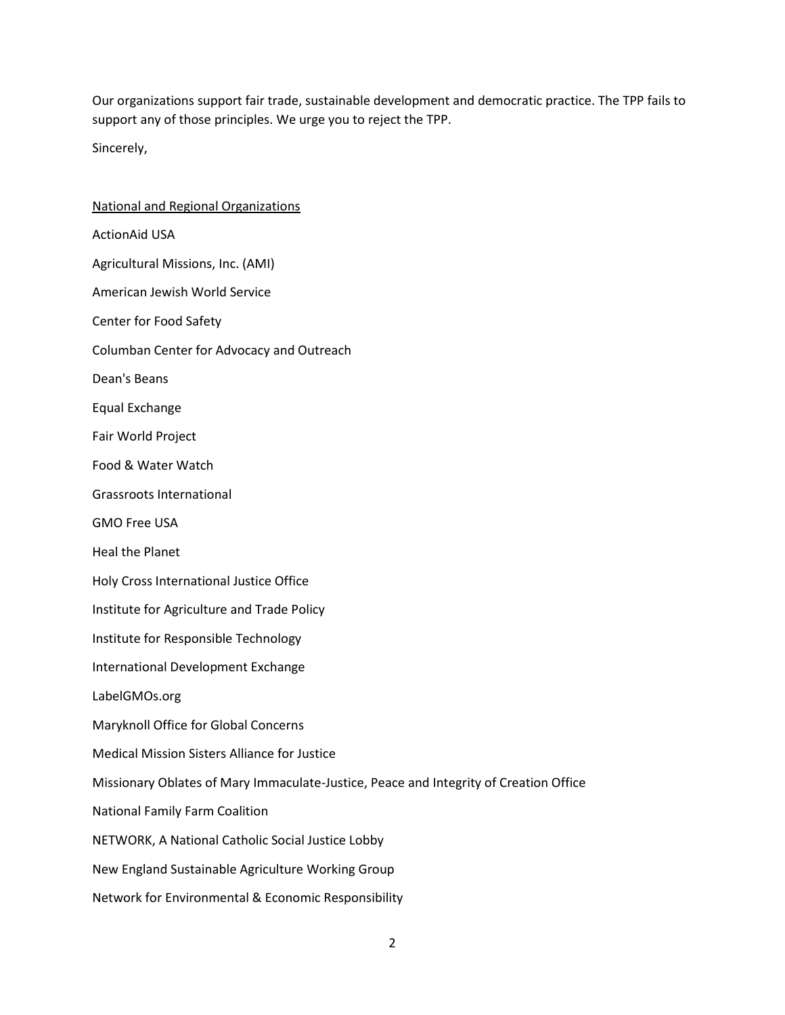Our organizations support fair trade, sustainable development and democratic practice. The TPP fails to support any of those principles. We urge you to reject the TPP.

Sincerely,

National and Regional Organizations ActionAid USA Agricultural Missions, Inc. (AMI) American Jewish World Service Center for Food Safety Columban Center for Advocacy and Outreach Dean's Beans Equal Exchange Fair World Project Food & Water Watch Grassroots International GMO Free USA Heal the Planet Holy Cross International Justice Office Institute for Agriculture and Trade Policy Institute for Responsible Technology International Development Exchange LabelGMOs.org Maryknoll Office for Global Concerns Medical Mission Sisters Alliance for Justice Missionary Oblates of Mary Immaculate-Justice, Peace and Integrity of Creation Office National Family Farm Coalition NETWORK, A National Catholic Social Justice Lobby New England Sustainable Agriculture Working Group Network for Environmental & Economic Responsibility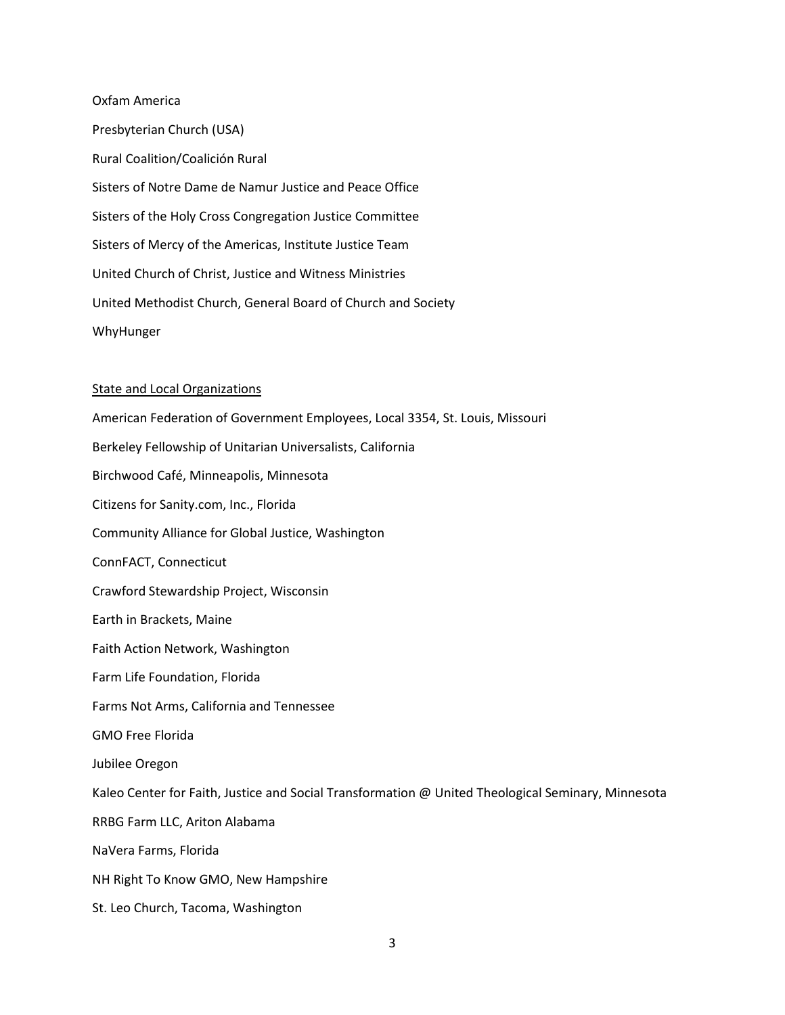Oxfam America Presbyterian Church (USA) Rural Coalition/Coalición Rural Sisters of Notre Dame de Namur Justice and Peace Office Sisters of the Holy Cross Congregation Justice Committee Sisters of Mercy of the Americas, Institute Justice Team United Church of Christ, Justice and Witness Ministries United Methodist Church, General Board of Church and Society WhyHunger

## State and Local Organizations

American Federation of Government Employees, Local 3354, St. Louis, Missouri Berkeley Fellowship of Unitarian Universalists, California Birchwood Café, Minneapolis, Minnesota Citizens for Sanity.com, Inc., Florida Community Alliance for Global Justice, Washington ConnFACT, Connecticut Crawford Stewardship Project, Wisconsin Earth in Brackets, Maine Faith Action Network, Washington Farm Life Foundation, Florida Farms Not Arms, California and Tennessee GMO Free Florida Jubilee Oregon Kaleo Center for Faith, Justice and Social Transformation @ United Theological Seminary, Minnesota RRBG Farm LLC, Ariton Alabama NaVera Farms, Florida NH Right To Know GMO, New Hampshire St. Leo Church, Tacoma, Washington